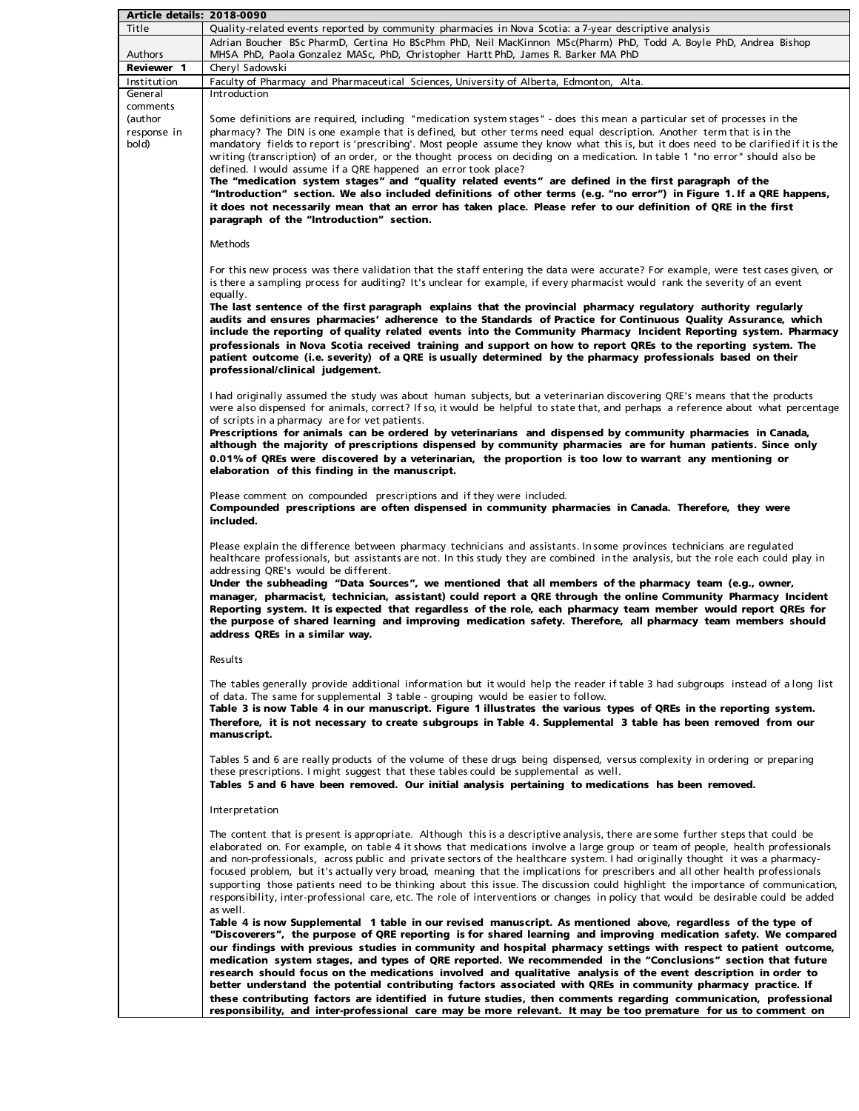| Article details: 2018-0090                  |                                                                                                                                                                                                                                                                                                                                                                                                                                                                                                                                                                                                                                                                                                                                                                                                                                                                                                                                                                                               |
|---------------------------------------------|-----------------------------------------------------------------------------------------------------------------------------------------------------------------------------------------------------------------------------------------------------------------------------------------------------------------------------------------------------------------------------------------------------------------------------------------------------------------------------------------------------------------------------------------------------------------------------------------------------------------------------------------------------------------------------------------------------------------------------------------------------------------------------------------------------------------------------------------------------------------------------------------------------------------------------------------------------------------------------------------------|
| Title                                       | Quality-related events reported by community pharmacies in Nova Scotia: a 7-year descriptive analysis                                                                                                                                                                                                                                                                                                                                                                                                                                                                                                                                                                                                                                                                                                                                                                                                                                                                                         |
|                                             | Adrian Boucher BSc PharmD, Certina Ho BScPhm PhD, Neil MacKinnon MSc(Pharm) PhD, Todd A. Boyle PhD, Andrea Bishop                                                                                                                                                                                                                                                                                                                                                                                                                                                                                                                                                                                                                                                                                                                                                                                                                                                                             |
| Authors                                     | MHSA PhD, Paola Gonzalez MASc, PhD, Christopher Hartt PhD, James R. Barker MA PhD                                                                                                                                                                                                                                                                                                                                                                                                                                                                                                                                                                                                                                                                                                                                                                                                                                                                                                             |
| <b>Reviewer 1</b>                           | Cheryl Sadowski                                                                                                                                                                                                                                                                                                                                                                                                                                                                                                                                                                                                                                                                                                                                                                                                                                                                                                                                                                               |
| Institution                                 | Faculty of Pharmacy and Pharmaceutical Sciences, University of Alberta, Edmonton, Alta.                                                                                                                                                                                                                                                                                                                                                                                                                                                                                                                                                                                                                                                                                                                                                                                                                                                                                                       |
| General                                     | Introduction                                                                                                                                                                                                                                                                                                                                                                                                                                                                                                                                                                                                                                                                                                                                                                                                                                                                                                                                                                                  |
| comments<br>(author<br>response in<br>(bold | Some definitions are required, including "medication system stages" - does this mean a particular set of processes in the<br>pharmacy? The DIN is one example that is defined, but other terms need equal description. Another term that is in the<br>mandatory fields to report is 'prescribing'. Most people assume they know what this is, but it does need to be clarified if it is the<br>writing (transcription) of an order, or the thought process on deciding on a medication. In table 1 "no error" should also be<br>defined. I would assume if a QRE happened an error took place?<br>The "medication system stages" and "quality related events" are defined in the first paragraph of the<br>"Introduction" section. We also included definitions of other terms (e.g. "no error") in Figure 1. If a QRE happens,<br>it does not necessarily mean that an error has taken place. Please refer to our definition of QRE in the first<br>paragraph of the "Introduction" section. |
|                                             | <b>Methods</b>                                                                                                                                                                                                                                                                                                                                                                                                                                                                                                                                                                                                                                                                                                                                                                                                                                                                                                                                                                                |
|                                             | For this new process was there validation that the staff entering the data were accurate? For example, were test cases given, or<br>is there a sampling process for auditing? It's unclear for example, if every pharmacist would rank the severity of an event<br>equally.<br>The last sentence of the first paragraph explains that the provincial pharmacy regulatory authority regularly<br>audits and ensures pharmacies' adherence to the Standards of Practice for Continuous Quality Assurance, which                                                                                                                                                                                                                                                                                                                                                                                                                                                                                 |
|                                             | include the reporting of quality related events into the Community Pharmacy Incident Reporting system. Pharmacy<br>professionals in Nova Scotia received training and support on how to report QREs to the reporting system. The<br>patient outcome (i.e. severity) of a QRE is usually determined by the pharmacy professionals based on their<br>professional/clinical judgement.                                                                                                                                                                                                                                                                                                                                                                                                                                                                                                                                                                                                           |
|                                             | I had originally assumed the study was about human subjects, but a veterinarian discovering QRE's means that the products<br>were also dispensed for animals, correct? If so, it would be helpful to state that, and perhaps a reference about what percentage<br>of scripts in a pharmacy are for vet patients.<br>Prescriptions for animals can be ordered by veterinarians and dispensed by community pharmacies in Canada,                                                                                                                                                                                                                                                                                                                                                                                                                                                                                                                                                                |
|                                             | although the majority of prescriptions dispensed by community pharmacies are for human patients. Since only<br>0.01% of QREs were discovered by a veterinarian, the proportion is too low to warrant any mentioning or<br>elaboration of this finding in the manuscript.                                                                                                                                                                                                                                                                                                                                                                                                                                                                                                                                                                                                                                                                                                                      |
|                                             | Please comment on compounded prescriptions and if they were included.<br>Compounded prescriptions are often dispensed in community pharmacies in Canada. Therefore, they were<br>included.                                                                                                                                                                                                                                                                                                                                                                                                                                                                                                                                                                                                                                                                                                                                                                                                    |
|                                             | Please explain the difference between pharmacy technicians and assistants. In some provinces technicians are regulated<br>healthcare professionals, but assistants are not. In this study they are combined in the analysis, but the role each could play in<br>addressing QRE's would be different.<br>Under the subheading "Data Sources", we mentioned that all members of the pharmacy team (e.g., owner,<br>manager, pharmacist, technician, assistant) could report a QRE through the online Community Pharmacy Incident<br>Reporting system. It is expected that regardless of the role, each pharmacy team member would report QREs for<br>the purpose of shared learning and improving medication safety. Therefore, all pharmacy team members should<br>address QREs in a similar way.                                                                                                                                                                                              |
|                                             | Results                                                                                                                                                                                                                                                                                                                                                                                                                                                                                                                                                                                                                                                                                                                                                                                                                                                                                                                                                                                       |
|                                             | The tables generally provide additional information but it would help the reader if table 3 had subgroups instead of a long list<br>of data. The same for supplemental 3 table - grouping would be easier to follow.<br>Table 3 is now Table 4 in our manuscript. Figure 1 illustrates the various types of QREs in the reporting system.<br>Therefore, it is not necessary to create subgroups in Table 4. Supplemental 3 table has been removed from our<br>manuscript.                                                                                                                                                                                                                                                                                                                                                                                                                                                                                                                     |
|                                             | Tables 5 and 6 are really products of the volume of these drugs being dispensed, versus complexity in ordering or preparing<br>these prescriptions. I might suggest that these tables could be supplemental as well.<br>Tables 5 and 6 have been removed. Our initial analysis pertaining to medications has been removed.                                                                                                                                                                                                                                                                                                                                                                                                                                                                                                                                                                                                                                                                    |
|                                             | Interpretation                                                                                                                                                                                                                                                                                                                                                                                                                                                                                                                                                                                                                                                                                                                                                                                                                                                                                                                                                                                |
|                                             | The content that is present is appropriate. Although this is a descriptive analysis, there are some further steps that could be<br>elaborated on. For example, on table 4 it shows that medications involve a large group or team of people, health professionals<br>and non-professionals, across public and private sectors of the healthcare system. I had originally thought it was a pharmacy-<br>focused problem, but it's actually very broad, meaning that the implications for prescribers and all other health professionals<br>supporting those patients need to be thinking about this issue. The discussion could highlight the importance of communication,<br>responsibility, inter-professional care, etc. The role of interventions or changes in policy that would be desirable could be added<br>as well.                                                                                                                                                                  |
|                                             | Table 4 is now Supplemental 1 table in our revised manuscript. As mentioned above, regardless of the type of<br>"Discoverers", the purpose of QRE reporting is for shared learning and improving medication safety. We compared<br>our findings with previous studies in community and hospital pharmacy settings with respect to patient outcome,<br>medication system stages, and types of QRE reported. We recommended in the "Conclusions" section that future<br>research should focus on the medications involved and qualitative analysis of the event description in order to                                                                                                                                                                                                                                                                                                                                                                                                         |
|                                             | better understand the potential contributing factors associated with QREs in community pharmacy practice. If<br>these contributing factors are identified in future studies, then comments regarding communication, professional                                                                                                                                                                                                                                                                                                                                                                                                                                                                                                                                                                                                                                                                                                                                                              |
|                                             | responsibility, and inter-professional care may be more relevant. It may be too premature for us to comment on                                                                                                                                                                                                                                                                                                                                                                                                                                                                                                                                                                                                                                                                                                                                                                                                                                                                                |